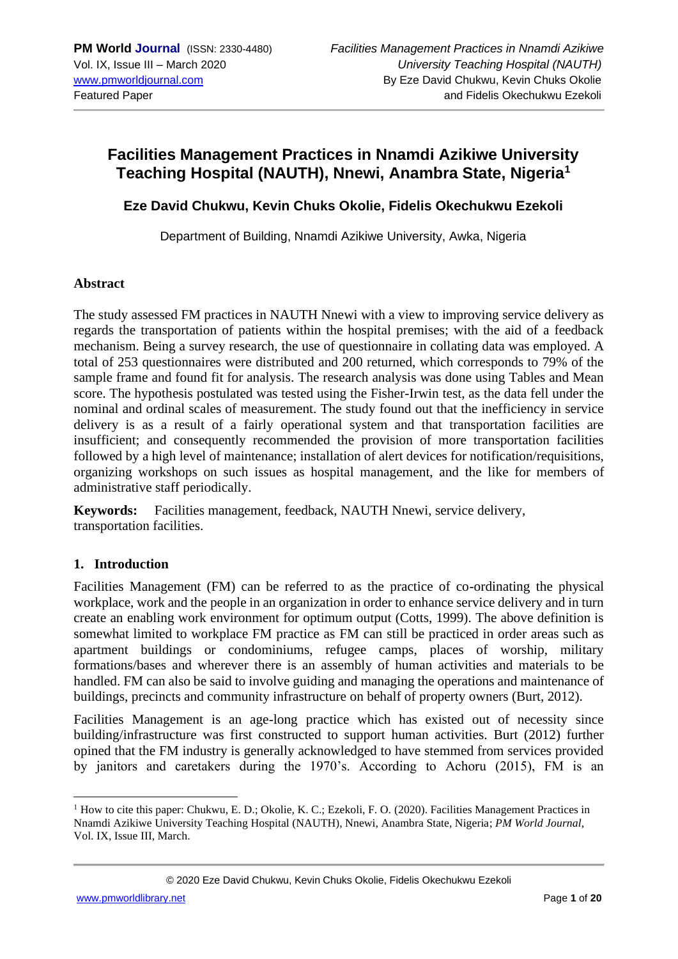## **Facilities Management Practices in Nnamdi Azikiwe University Teaching Hospital (NAUTH), Nnewi, Anambra State, Nigeria<sup>1</sup>**

## **Eze David Chukwu, Kevin Chuks Okolie, Fidelis Okechukwu Ezekoli**

Department of Building, Nnamdi Azikiwe University, Awka, Nigeria

#### **Abstract**

The study assessed FM practices in NAUTH Nnewi with a view to improving service delivery as regards the transportation of patients within the hospital premises; with the aid of a feedback mechanism. Being a survey research, the use of questionnaire in collating data was employed. A total of 253 questionnaires were distributed and 200 returned, which corresponds to 79% of the sample frame and found fit for analysis. The research analysis was done using Tables and Mean score. The hypothesis postulated was tested using the Fisher-Irwin test, as the data fell under the nominal and ordinal scales of measurement. The study found out that the inefficiency in service delivery is as a result of a fairly operational system and that transportation facilities are insufficient; and consequently recommended the provision of more transportation facilities followed by a high level of maintenance; installation of alert devices for notification/requisitions, organizing workshops on such issues as hospital management, and the like for members of administrative staff periodically.

**Keywords:** Facilities management, feedback, NAUTH Nnewi, service delivery, transportation facilities.

## **1. Introduction**

Facilities Management (FM) can be referred to as the practice of co-ordinating the physical workplace, work and the people in an organization in order to enhance service delivery and in turn create an enabling work environment for optimum output (Cotts, 1999). The above definition is somewhat limited to workplace FM practice as FM can still be practiced in order areas such as apartment buildings or condominiums, refugee camps, places of worship, military formations/bases and wherever there is an assembly of human activities and materials to be handled. FM can also be said to involve guiding and managing the operations and maintenance of buildings, precincts and community infrastructure on behalf of property owners (Burt, 2012).

Facilities Management is an age-long practice which has existed out of necessity since building/infrastructure was first constructed to support human activities. Burt (2012) further opined that the FM industry is generally acknowledged to have stemmed from services provided by janitors and caretakers during the 1970's. According to Achoru (2015), FM is an

 $<sup>1</sup>$  How to cite this paper: Chukwu, E. D.; Okolie, K. C.; Ezekoli, F. O. (2020). Facilities Management Practices in</sup> Nnamdi Azikiwe University Teaching Hospital (NAUTH), Nnewi, Anambra State, Nigeria; *PM World Journal*, Vol. IX, Issue III, March.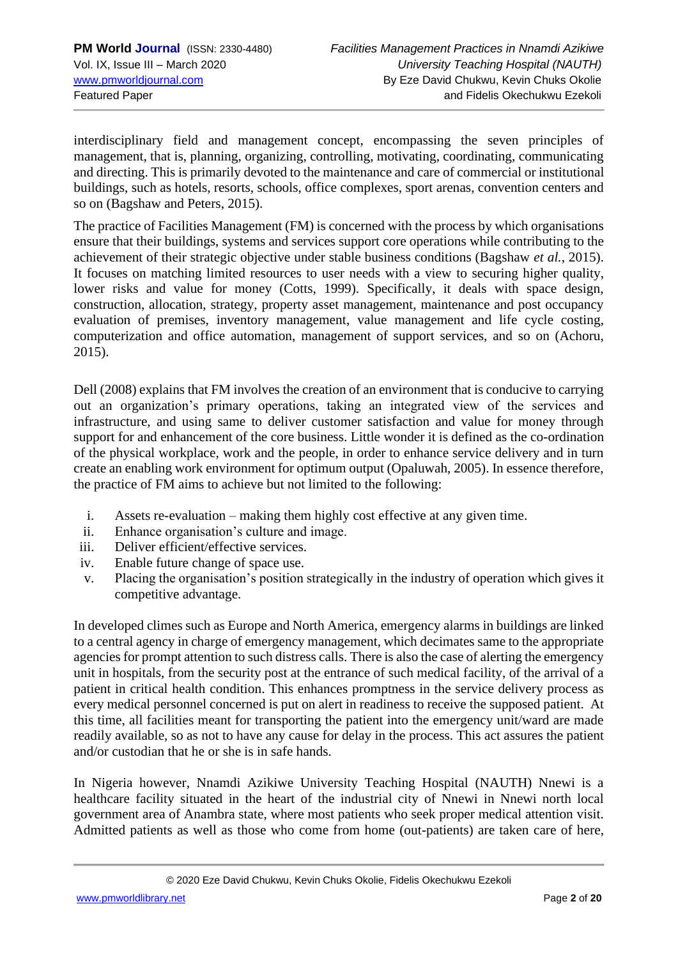interdisciplinary field and management concept, encompassing the seven principles of management, that is, planning, organizing, controlling, motivating, coordinating, communicating and directing. This is primarily devoted to the maintenance and care of commercial or institutional buildings, such as hotels, resorts, schools, office complexes, sport arenas, convention centers and so on (Bagshaw and Peters, 2015).

The practice of Facilities Management (FM) is concerned with the process by which organisations ensure that their buildings, systems and services support core operations while contributing to the achievement of their strategic objective under stable business conditions (Bagshaw *et al.*, 2015). It focuses on matching limited resources to user needs with a view to securing higher quality, lower risks and value for money (Cotts, 1999). Specifically, it deals with space design, construction, allocation, strategy, property asset management, maintenance and post occupancy evaluation of premises, inventory management, value management and life cycle costing, computerization and office automation, management of support services, and so on (Achoru, 2015).

Dell (2008) explains that FM involves the creation of an environment that is conducive to carrying out an organization's primary operations, taking an integrated view of the services and infrastructure, and using same to deliver customer satisfaction and value for money through support for and enhancement of the core business. Little wonder it is defined as the co-ordination of the physical workplace, work and the people, in order to enhance service delivery and in turn create an enabling work environment for optimum output (Opaluwah, 2005). In essence therefore, the practice of FM aims to achieve but not limited to the following:

- i. Assets re-evaluation making them highly cost effective at any given time.
- ii. Enhance organisation's culture and image.
- iii. Deliver efficient/effective services.
- iv. Enable future change of space use.
- v. Placing the organisation's position strategically in the industry of operation which gives it competitive advantage.

In developed climes such as Europe and North America, emergency alarms in buildings are linked to a central agency in charge of emergency management, which decimates same to the appropriate agencies for prompt attention to such distress calls. There is also the case of alerting the emergency unit in hospitals, from the security post at the entrance of such medical facility, of the arrival of a patient in critical health condition. This enhances promptness in the service delivery process as every medical personnel concerned is put on alert in readiness to receive the supposed patient. At this time, all facilities meant for transporting the patient into the emergency unit/ward are made readily available, so as not to have any cause for delay in the process. This act assures the patient and/or custodian that he or she is in safe hands.

In Nigeria however, Nnamdi Azikiwe University Teaching Hospital (NAUTH) Nnewi is a healthcare facility situated in the heart of the industrial city of Nnewi in Nnewi north local government area of Anambra state, where most patients who seek proper medical attention visit. Admitted patients as well as those who come from home (out-patients) are taken care of here,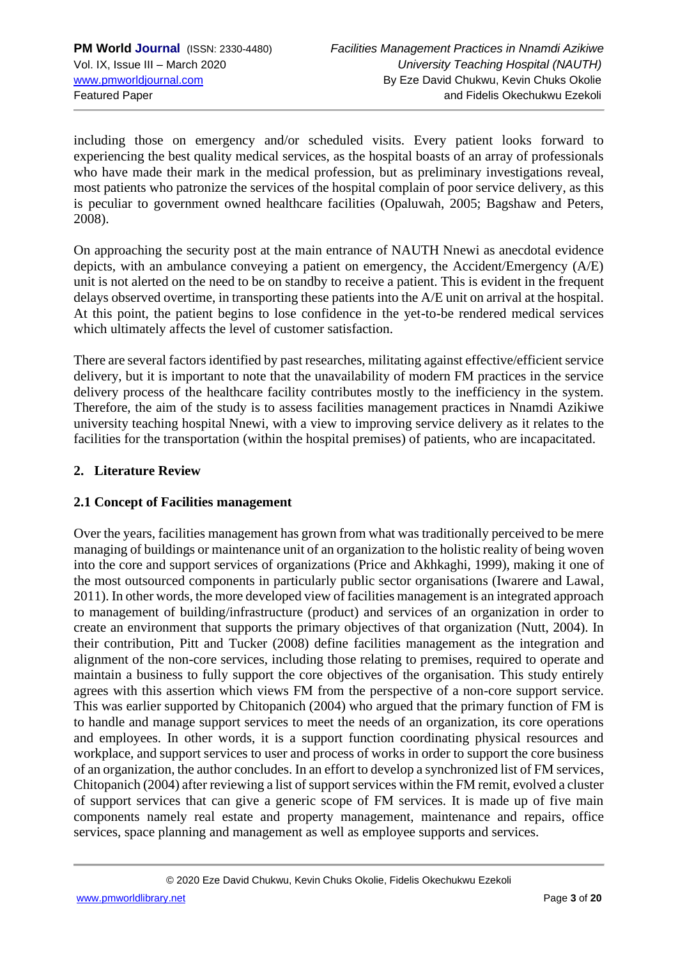including those on emergency and/or scheduled visits. Every patient looks forward to experiencing the best quality medical services, as the hospital boasts of an array of professionals who have made their mark in the medical profession, but as preliminary investigations reveal, most patients who patronize the services of the hospital complain of poor service delivery, as this is peculiar to government owned healthcare facilities (Opaluwah, 2005; Bagshaw and Peters, 2008).

On approaching the security post at the main entrance of NAUTH Nnewi as anecdotal evidence depicts, with an ambulance conveying a patient on emergency, the Accident/Emergency (A/E) unit is not alerted on the need to be on standby to receive a patient. This is evident in the frequent delays observed overtime, in transporting these patients into the A/E unit on arrival at the hospital. At this point, the patient begins to lose confidence in the yet-to-be rendered medical services which ultimately affects the level of customer satisfaction.

There are several factors identified by past researches, militating against effective/efficient service delivery, but it is important to note that the unavailability of modern FM practices in the service delivery process of the healthcare facility contributes mostly to the inefficiency in the system. Therefore, the aim of the study is to assess facilities management practices in Nnamdi Azikiwe university teaching hospital Nnewi, with a view to improving service delivery as it relates to the facilities for the transportation (within the hospital premises) of patients, who are incapacitated.

## **2. Literature Review**

## **2.1 Concept of Facilities management**

Over the years, facilities management has grown from what was traditionally perceived to be mere managing of buildings or maintenance unit of an organization to the holistic reality of being woven into the core and support services of organizations (Price and Akhkaghi, 1999), making it one of the most outsourced components in particularly public sector organisations (Iwarere and Lawal*,*  2011). In other words, the more developed view of facilities management is an integrated approach to management of building/infrastructure (product) and services of an organization in order to create an environment that supports the primary objectives of that organization (Nutt, 2004). In their contribution, Pitt and Tucker (2008) define facilities management as the integration and alignment of the non-core services, including those relating to premises, required to operate and maintain a business to fully support the core objectives of the organisation. This study entirely agrees with this assertion which views FM from the perspective of a non-core support service. This was earlier supported by Chitopanich (2004) who argued that the primary function of FM is to handle and manage support services to meet the needs of an organization, its core operations and employees. In other words, it is a support function coordinating physical resources and workplace, and support services to user and process of works in order to support the core business of an organization, the author concludes. In an effort to develop a synchronized list of FM services, Chitopanich (2004) after reviewing a list of support services within the FM remit, evolved a cluster of support services that can give a generic scope of FM services. It is made up of five main components namely real estate and property management, maintenance and repairs, office services, space planning and management as well as employee supports and services.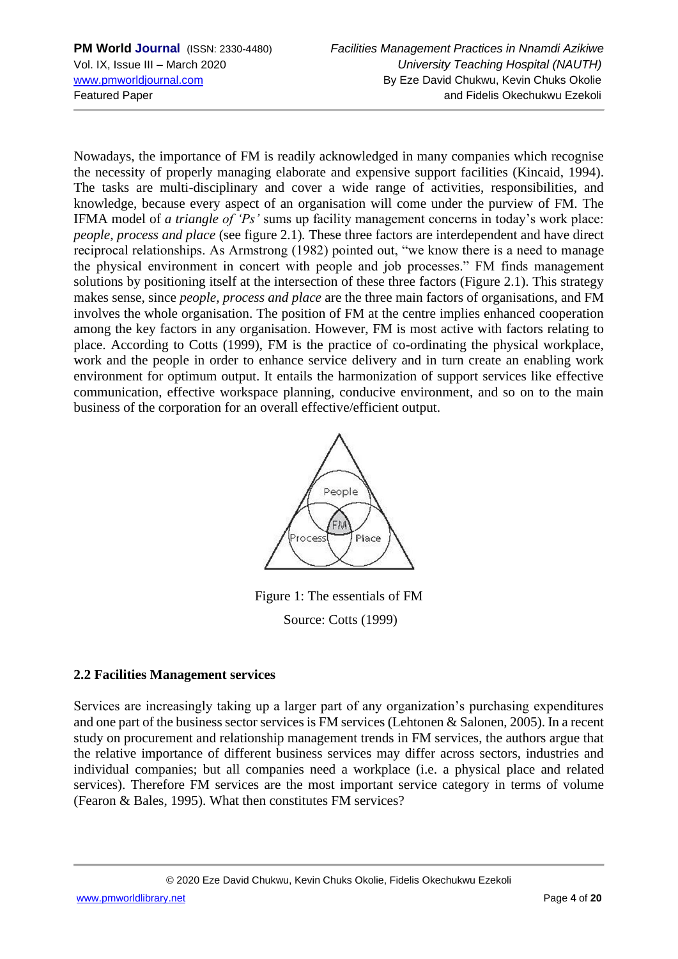Nowadays, the importance of FM is readily acknowledged in many companies which recognise the necessity of properly managing elaborate and expensive support facilities (Kincaid, 1994). The tasks are multi-disciplinary and cover a wide range of activities, responsibilities, and knowledge, because every aspect of an organisation will come under the purview of FM. The IFMA model of *a triangle of 'Ps'* sums up facility management concerns in today's work place: *people, process and place* (see figure 2.1)*.* These three factors are interdependent and have direct reciprocal relationships. As Armstrong (1982) pointed out, "we know there is a need to manage the physical environment in concert with people and job processes." FM finds management solutions by positioning itself at the intersection of these three factors (Figure 2.1). This strategy makes sense, since *people, process and place* are the three main factors of organisations, and FM involves the whole organisation. The position of FM at the centre implies enhanced cooperation among the key factors in any organisation. However, FM is most active with factors relating to place. According to Cotts (1999), FM is the practice of co-ordinating the physical workplace, work and the people in order to enhance service delivery and in turn create an enabling work environment for optimum output. It entails the harmonization of support services like effective communication, effective workspace planning, conducive environment, and so on to the main business of the corporation for an overall effective/efficient output.



Figure 1: The essentials of FM Source: Cotts (1999)

## **2.2 Facilities Management services**

Services are increasingly taking up a larger part of any organization's purchasing expenditures and one part of the business sector services is FM services (Lehtonen & Salonen, 2005). In a recent study on procurement and relationship management trends in FM services, the authors argue that the relative importance of different business services may differ across sectors, industries and individual companies; but all companies need a workplace (i.e. a physical place and related services). Therefore FM services are the most important service category in terms of volume (Fearon & Bales, 1995). What then constitutes FM services?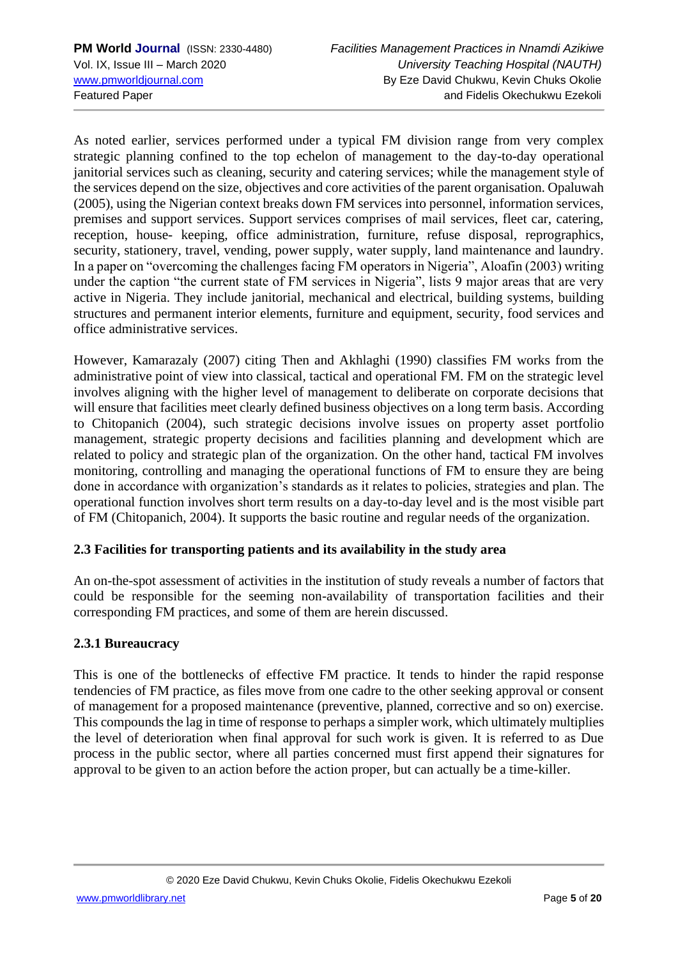As noted earlier, services performed under a typical FM division range from very complex strategic planning confined to the top echelon of management to the day-to-day operational janitorial services such as cleaning, security and catering services; while the management style of the services depend on the size, objectives and core activities of the parent organisation. Opaluwah (2005), using the Nigerian context breaks down FM services into personnel, information services, premises and support services. Support services comprises of mail services, fleet car, catering, reception, house- keeping, office administration, furniture, refuse disposal, reprographics, security, stationery, travel, vending, power supply, water supply, land maintenance and laundry. In a paper on "overcoming the challenges facing FM operators in Nigeria", Aloafin (2003) writing under the caption "the current state of FM services in Nigeria", lists 9 major areas that are very active in Nigeria. They include janitorial, mechanical and electrical, building systems, building structures and permanent interior elements, furniture and equipment, security, food services and office administrative services.

However, Kamarazaly (2007) citing Then and Akhlaghi (1990) classifies FM works from the administrative point of view into classical, tactical and operational FM. FM on the strategic level involves aligning with the higher level of management to deliberate on corporate decisions that will ensure that facilities meet clearly defined business objectives on a long term basis. According to Chitopanich (2004), such strategic decisions involve issues on property asset portfolio management, strategic property decisions and facilities planning and development which are related to policy and strategic plan of the organization. On the other hand, tactical FM involves monitoring, controlling and managing the operational functions of FM to ensure they are being done in accordance with organization's standards as it relates to policies, strategies and plan. The operational function involves short term results on a day-to-day level and is the most visible part of FM (Chitopanich, 2004). It supports the basic routine and regular needs of the organization.

## **2.3 Facilities for transporting patients and its availability in the study area**

An on-the-spot assessment of activities in the institution of study reveals a number of factors that could be responsible for the seeming non-availability of transportation facilities and their corresponding FM practices, and some of them are herein discussed.

#### **2.3.1 Bureaucracy**

This is one of the bottlenecks of effective FM practice. It tends to hinder the rapid response tendencies of FM practice, as files move from one cadre to the other seeking approval or consent of management for a proposed maintenance (preventive, planned, corrective and so on) exercise. This compounds the lag in time of response to perhaps a simpler work, which ultimately multiplies the level of deterioration when final approval for such work is given. It is referred to as Due process in the public sector, where all parties concerned must first append their signatures for approval to be given to an action before the action proper, but can actually be a time-killer.

[www.pmworldlibrary.net](http://www.pmworldlibrary.net/) Page **5** of **20**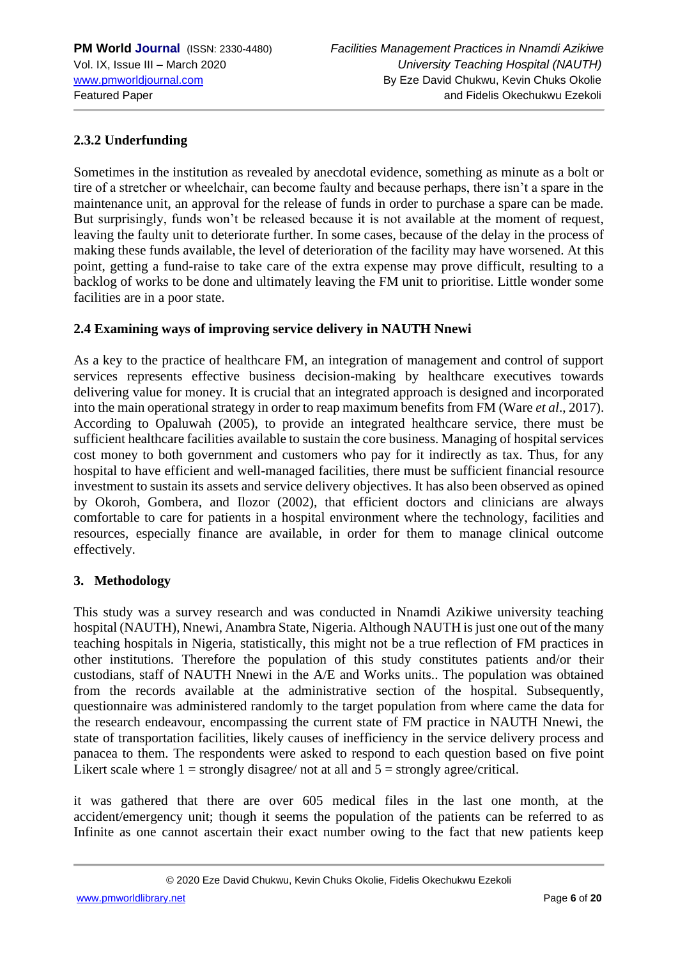## **2.3.2 Underfunding**

Sometimes in the institution as revealed by anecdotal evidence, something as minute as a bolt or tire of a stretcher or wheelchair, can become faulty and because perhaps, there isn't a spare in the maintenance unit, an approval for the release of funds in order to purchase a spare can be made. But surprisingly, funds won't be released because it is not available at the moment of request, leaving the faulty unit to deteriorate further. In some cases, because of the delay in the process of making these funds available, the level of deterioration of the facility may have worsened. At this point, getting a fund-raise to take care of the extra expense may prove difficult, resulting to a backlog of works to be done and ultimately leaving the FM unit to prioritise. Little wonder some facilities are in a poor state.

#### **2.4 Examining ways of improving service delivery in NAUTH Nnewi**

As a key to the practice of healthcare FM, an integration of management and control of support services represents effective business decision-making by healthcare executives towards delivering value for money. It is crucial that an integrated approach is designed and incorporated into the main operational strategy in order to reap maximum benefits from FM (Ware *et al*., 2017). According to Opaluwah (2005), to provide an integrated healthcare service, there must be sufficient healthcare facilities available to sustain the core business. Managing of hospital services cost money to both government and customers who pay for it indirectly as tax. Thus, for any hospital to have efficient and well-managed facilities, there must be sufficient financial resource investment to sustain its assets and service delivery objectives. It has also been observed as opined by Okoroh, Gombera, and Ilozor (2002), that efficient doctors and clinicians are always comfortable to care for patients in a hospital environment where the technology, facilities and resources, especially finance are available, in order for them to manage clinical outcome effectively.

#### **3. Methodology**

This study was a survey research and was conducted in Nnamdi Azikiwe university teaching hospital (NAUTH), Nnewi, Anambra State, Nigeria. Although NAUTH is just one out of the many teaching hospitals in Nigeria, statistically, this might not be a true reflection of FM practices in other institutions. Therefore the population of this study constitutes patients and/or their custodians, staff of NAUTH Nnewi in the A/E and Works units.. The population was obtained from the records available at the administrative section of the hospital. Subsequently, questionnaire was administered randomly to the target population from where came the data for the research endeavour, encompassing the current state of FM practice in NAUTH Nnewi, the state of transportation facilities, likely causes of inefficiency in the service delivery process and panacea to them. The respondents were asked to respond to each question based on five point Likert scale where  $1 =$  strongly disagree/ not at all and  $5 =$  strongly agree/critical.

it was gathered that there are over 605 medical files in the last one month, at the accident/emergency unit; though it seems the population of the patients can be referred to as Infinite as one cannot ascertain their exact number owing to the fact that new patients keep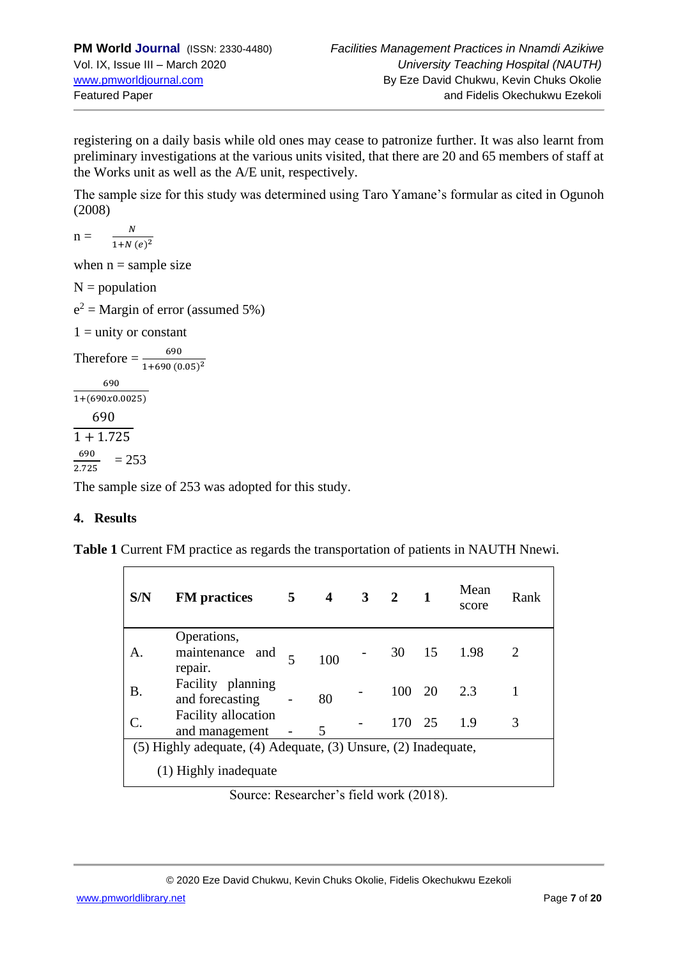registering on a daily basis while old ones may cease to patronize further. It was also learnt from preliminary investigations at the various units visited, that there are 20 and 65 members of staff at the Works unit as well as the A/E unit, respectively.

The sample size for this study was determined using Taro Yamane's formular as cited in Ogunoh (2008)

$$
n = \frac{N}{1 + N (e)^2}
$$

when  $n =$  sample size

 $N =$  population

 $e^2$  = Margin of error (assumed 5%)

 $1 =$  unity or constant

Therefore  $=\frac{690}{1+690(0.05)^2}$ 690  $1+(690x0.0025)$ 690  $\sqrt{1 + 1.725}$ 690 2.725  $= 253$ 

The sample size of 253 was adopted for this study.

## **4. Results**

**Table 1** Current FM practice as regards the transportation of patients in NAUTH Nnewi.

| S/N                                                            | <b>FM</b> practices                       | 5 <sup>5</sup> | 4   | $3\quad 2$ |        |     | Mean<br>score | Rank |
|----------------------------------------------------------------|-------------------------------------------|----------------|-----|------------|--------|-----|---------------|------|
| A.                                                             | Operations,<br>maintenance and<br>repair. | $\overline{5}$ | 100 |            | 30     | -15 | 1.98          | 2    |
| Β.                                                             | Facility planning<br>and forecasting      |                | 80  |            | 100 20 |     | 2.3           |      |
| C.                                                             | Facility allocation<br>and management     |                | 5   |            | 170 25 |     | 1.9           | 3    |
| (5) Highly adequate, (4) Adequate, (3) Unsure, (2) Inadequate, |                                           |                |     |            |        |     |               |      |
|                                                                | (1) Highly inadequate                     |                |     |            |        |     |               |      |

Source: Researcher's field work (2018).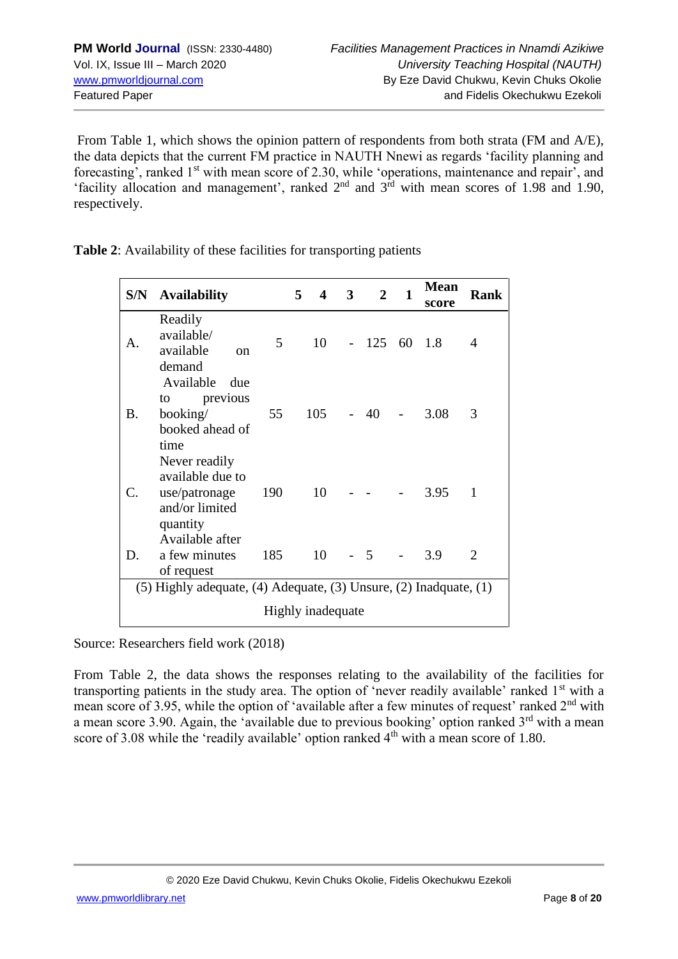From Table 1, which shows the opinion pattern of respondents from both strata (FM and A/E), the data depicts that the current FM practice in NAUTH Nnewi as regards 'facility planning and forecasting', ranked 1<sup>st</sup> with mean score of 2.30, while 'operations, maintenance and repair', and 'facility allocation and management', ranked  $2<sup>nd</sup>$  and  $3<sup>rd</sup>$  with mean scores of 1.98 and 1.90, respectively.

**Table 2**: Availability of these facilities for transporting patients

| S/N                                                                         | <b>Availability</b>                                                                                 |     | 5<br>4 | $\overline{3}$ | $\overline{2}$ | $\mathbf{1}$ | <b>Mean</b><br>score | <b>Rank</b>    |
|-----------------------------------------------------------------------------|-----------------------------------------------------------------------------------------------------|-----|--------|----------------|----------------|--------------|----------------------|----------------|
| $\mathsf{A}$ .                                                              | Readily<br>available/<br>available<br><sub>on</sub><br>demand                                       | 5   |        | 10             | $-125$ 60 1.8  |              |                      | $\overline{4}$ |
| Β.                                                                          | Available<br>due<br>to previous<br>booking/<br>booked ahead of<br>time                              | 55  | 105    |                | 40             |              | 3.08                 | 3              |
| C.                                                                          | Never readily<br>available due to<br>use/patronage<br>and/or limited<br>quantity<br>Available after | 190 | 10     |                |                |              | 3.95                 | $\mathbf{1}$   |
| D.                                                                          | a few minutes<br>of request                                                                         | 185 | 10     |                | $-5$           |              | 3.9                  | $\overline{2}$ |
| $(5)$ Highly adequate, $(4)$ Adequate, $(3)$ Unsure, $(2)$ Inadquate, $(1)$ |                                                                                                     |     |        |                |                |              |                      |                |
| Highly inadequate                                                           |                                                                                                     |     |        |                |                |              |                      |                |

Source: Researchers field work (2018)

From Table 2, the data shows the responses relating to the availability of the facilities for transporting patients in the study area. The option of 'never readily available' ranked 1<sup>st</sup> with a mean score of 3.95, while the option of 'available after a few minutes of request' ranked 2<sup>nd</sup> with a mean score 3.90. Again, the 'available due to previous booking' option ranked  $3<sup>rd</sup>$  with a mean score of 3.08 while the 'readily available' option ranked 4<sup>th</sup> with a mean score of 1.80.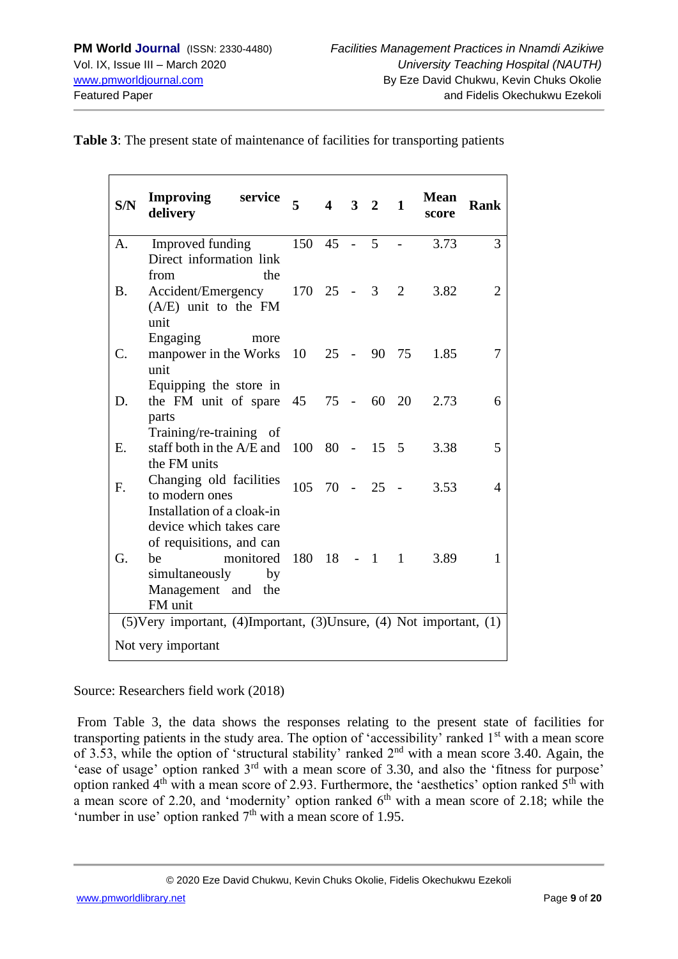| S/N                                                                             | Improving<br>service<br>delivery                              | $\overline{\mathbf{5}}$ | $4 \quad 3 \quad 2$ |                |                | 1              | <b>Mean</b><br>score | <b>Rank</b> |
|---------------------------------------------------------------------------------|---------------------------------------------------------------|-------------------------|---------------------|----------------|----------------|----------------|----------------------|-------------|
| A.                                                                              | Improved funding                                              | 150                     | 45                  | $\overline{a}$ | 5              |                | 3.73                 | 3           |
|                                                                                 | Direct information link                                       |                         |                     |                |                |                |                      |             |
|                                                                                 | from<br>the                                                   |                         |                     |                |                |                |                      |             |
| <b>B.</b>                                                                       | Accident/Emergency 170 25 -<br>$(A/E)$ unit to the FM<br>unit |                         |                     |                | 3 <sup>1</sup> | $\overline{2}$ | 3.82                 | 2           |
|                                                                                 | Engaging<br>more                                              |                         |                     |                |                |                |                      |             |
| C.                                                                              | manpower in the Works 10 25 -<br>unit                         |                         |                     |                |                | 90 75          | 1.85                 | 7           |
|                                                                                 | Equipping the store in                                        |                         |                     |                |                |                |                      |             |
| D.                                                                              | the FM unit of spare                                          | 45                      | 75 -                |                | 60 20          |                | 2.73                 | 6           |
|                                                                                 | parts<br>Training/re-training of                              |                         |                     |                |                |                |                      |             |
| Ε.                                                                              | staff both in the $A/E$ and $100\,80$ -                       |                         |                     |                | $15 \quad 5$   |                | 3.38                 | 5           |
|                                                                                 | the FM units                                                  |                         |                     |                |                |                |                      |             |
| F.                                                                              | Changing old facilities                                       | $105$ 70 - 25 -         |                     |                |                |                | 3.53                 | 4           |
|                                                                                 | to modern ones                                                |                         |                     |                |                |                |                      |             |
|                                                                                 | Installation of a cloak-in<br>device which takes care         |                         |                     |                |                |                |                      |             |
|                                                                                 | of requisitions, and can                                      |                         |                     |                |                |                |                      |             |
| G.                                                                              | monitored 180 18 - 1 1<br>be                                  |                         |                     |                |                |                | 3.89                 | 1           |
|                                                                                 | simultaneously<br>by                                          |                         |                     |                |                |                |                      |             |
|                                                                                 | Management and the                                            |                         |                     |                |                |                |                      |             |
| FM unit                                                                         |                                                               |                         |                     |                |                |                |                      |             |
| $(5)$ Very important, $(4)$ Important, $(3)$ Unsure, $(4)$ Not important, $(1)$ |                                                               |                         |                     |                |                |                |                      |             |
| Not very important                                                              |                                                               |                         |                     |                |                |                |                      |             |

**Table 3**: The present state of maintenance of facilities for transporting patients

Source: Researchers field work (2018)

From Table 3, the data shows the responses relating to the present state of facilities for transporting patients in the study area. The option of 'accessibility' ranked 1<sup>st</sup> with a mean score of 3.53, while the option of 'structural stability' ranked 2nd with a mean score 3.40. Again, the 'ease of usage' option ranked 3rd with a mean score of 3.30, and also the 'fitness for purpose' option ranked  $4<sup>th</sup>$  with a mean score of 2.93. Furthermore, the 'aesthetics' option ranked  $5<sup>th</sup>$  with a mean score of 2.20, and 'modernity' option ranked  $6<sup>th</sup>$  with a mean score of 2.18; while the 'number in use' option ranked  $7<sup>th</sup>$  with a mean score of 1.95.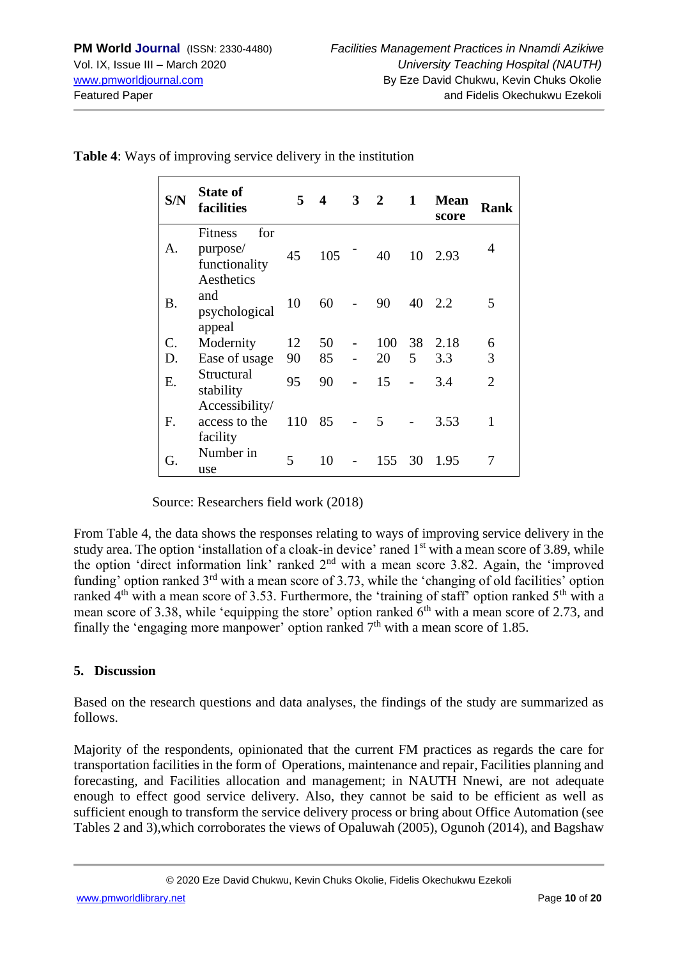| S/N       | <b>State of</b><br>facilities                                    | 5   | $\overline{\mathbf{4}}$ | 3 | $\overline{2}$ | 1  | <b>Mean</b><br>score | Rank           |
|-----------|------------------------------------------------------------------|-----|-------------------------|---|----------------|----|----------------------|----------------|
| A.        | for<br><b>Fitness</b><br>purpose/<br>functionality<br>Aesthetics | 45  | 105                     |   | 40             | 10 | 2.93                 | 4              |
| <b>B.</b> | and<br>psychological<br>appeal                                   | 10  | 60                      |   | 90             | 40 | 2.2                  | 5              |
| C.        | Modernity                                                        | 12  | 50                      |   | 100            | 38 | 2.18                 | 6              |
| D.        | Ease of usage                                                    | 90  | 85                      |   | 20             | 5  | 3.3                  | 3              |
| Ε.        | Structural<br>stability                                          | 95  | 90                      |   | 15             |    | 3.4                  | $\overline{2}$ |
| F.        | Accessibility/<br>access to the<br>facility                      | 110 | 85                      |   | 5              |    | 3.53                 | 1              |
| G.        | Number in<br>use                                                 | 5   | 10                      |   | 155            | 30 | 1.95                 | 7              |

**Table 4**: Ways of improving service delivery in the institution

Source: Researchers field work (2018)

From Table 4, the data shows the responses relating to ways of improving service delivery in the study area. The option 'installation of a cloak-in device' raned 1<sup>st</sup> with a mean score of 3.89, while the option 'direct information link' ranked  $2<sup>nd</sup>$  with a mean score 3.82. Again, the 'improved funding' option ranked 3<sup>rd</sup> with a mean score of 3.73, while the 'changing of old facilities' option ranked  $4<sup>th</sup>$  with a mean score of 3.53. Furthermore, the 'training of staff' option ranked  $5<sup>th</sup>$  with a mean score of 3.38, while 'equipping the store' option ranked  $6<sup>th</sup>$  with a mean score of 2.73, and finally the 'engaging more manpower' option ranked  $7<sup>th</sup>$  with a mean score of 1.85.

#### **5. Discussion**

Based on the research questions and data analyses, the findings of the study are summarized as follows.

Majority of the respondents, opinionated that the current FM practices as regards the care for transportation facilities in the form of Operations, maintenance and repair, Facilities planning and forecasting, and Facilities allocation and management; in NAUTH Nnewi, are not adequate enough to effect good service delivery. Also, they cannot be said to be efficient as well as sufficient enough to transform the service delivery process or bring about Office Automation (see Tables 2 and 3),which corroborates the views of Opaluwah (2005), Ogunoh (2014), and Bagshaw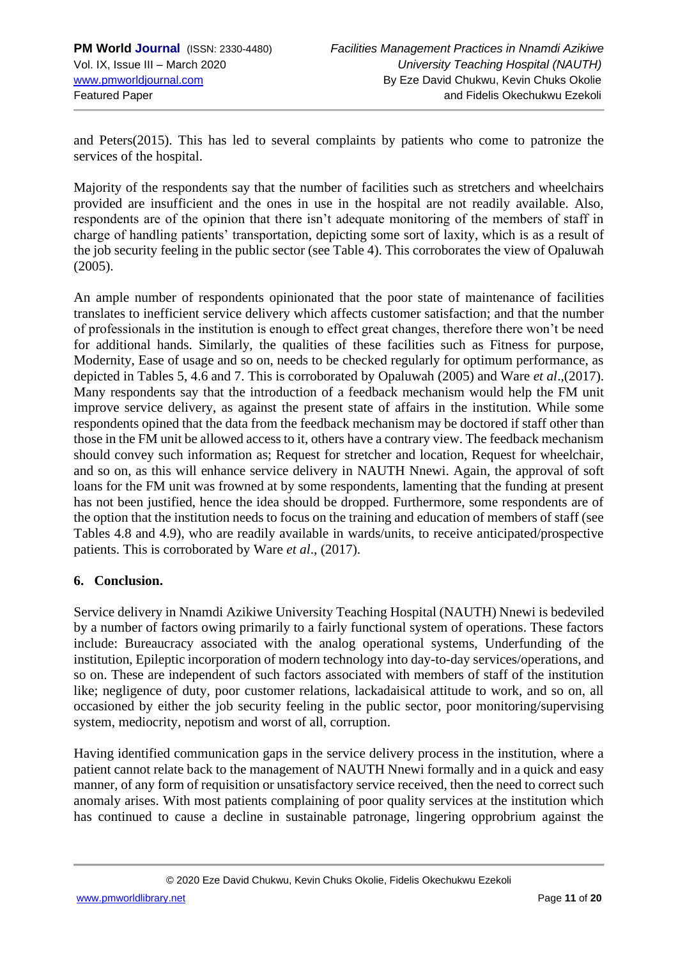and Peters(2015). This has led to several complaints by patients who come to patronize the services of the hospital.

Majority of the respondents say that the number of facilities such as stretchers and wheelchairs provided are insufficient and the ones in use in the hospital are not readily available. Also, respondents are of the opinion that there isn't adequate monitoring of the members of staff in charge of handling patients' transportation, depicting some sort of laxity, which is as a result of the job security feeling in the public sector (see Table 4). This corroborates the view of Opaluwah (2005).

An ample number of respondents opinionated that the poor state of maintenance of facilities translates to inefficient service delivery which affects customer satisfaction; and that the number of professionals in the institution is enough to effect great changes, therefore there won't be need for additional hands. Similarly, the qualities of these facilities such as Fitness for purpose, Modernity, Ease of usage and so on, needs to be checked regularly for optimum performance, as depicted in Tables 5, 4.6 and 7. This is corroborated by Opaluwah (2005) and Ware *et al*.,(2017). Many respondents say that the introduction of a feedback mechanism would help the FM unit improve service delivery, as against the present state of affairs in the institution. While some respondents opined that the data from the feedback mechanism may be doctored if staff other than those in the FM unit be allowed access to it, others have a contrary view. The feedback mechanism should convey such information as; Request for stretcher and location, Request for wheelchair, and so on, as this will enhance service delivery in NAUTH Nnewi. Again, the approval of soft loans for the FM unit was frowned at by some respondents, lamenting that the funding at present has not been justified, hence the idea should be dropped. Furthermore, some respondents are of the option that the institution needs to focus on the training and education of members of staff (see Tables 4.8 and 4.9), who are readily available in wards/units, to receive anticipated/prospective patients. This is corroborated by Ware *et al*., (2017).

## **6. Conclusion.**

Service delivery in Nnamdi Azikiwe University Teaching Hospital (NAUTH) Nnewi is bedeviled by a number of factors owing primarily to a fairly functional system of operations. These factors include: Bureaucracy associated with the analog operational systems, Underfunding of the institution, Epileptic incorporation of modern technology into day-to-day services/operations, and so on. These are independent of such factors associated with members of staff of the institution like; negligence of duty, poor customer relations, lackadaisical attitude to work, and so on, all occasioned by either the job security feeling in the public sector, poor monitoring/supervising system, mediocrity, nepotism and worst of all, corruption.

Having identified communication gaps in the service delivery process in the institution, where a patient cannot relate back to the management of NAUTH Nnewi formally and in a quick and easy manner, of any form of requisition or unsatisfactory service received, then the need to correct such anomaly arises. With most patients complaining of poor quality services at the institution which has continued to cause a decline in sustainable patronage, lingering opprobrium against the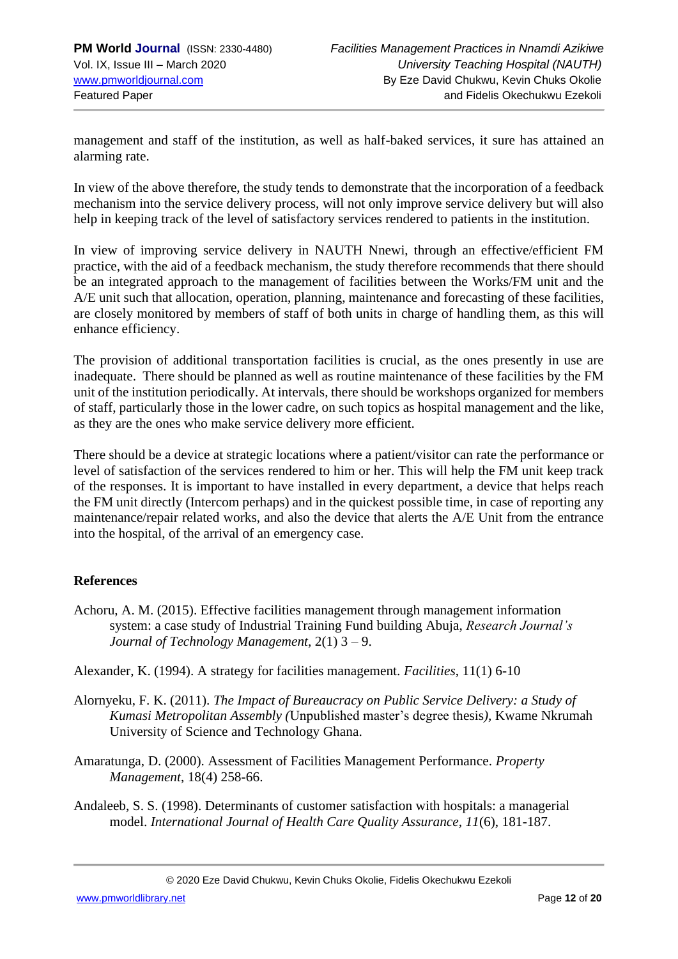management and staff of the institution, as well as half-baked services, it sure has attained an alarming rate.

In view of the above therefore, the study tends to demonstrate that the incorporation of a feedback mechanism into the service delivery process, will not only improve service delivery but will also help in keeping track of the level of satisfactory services rendered to patients in the institution.

In view of improving service delivery in NAUTH Nnewi, through an effective/efficient FM practice, with the aid of a feedback mechanism, the study therefore recommends that there should be an integrated approach to the management of facilities between the Works/FM unit and the A/E unit such that allocation, operation, planning, maintenance and forecasting of these facilities, are closely monitored by members of staff of both units in charge of handling them, as this will enhance efficiency.

The provision of additional transportation facilities is crucial, as the ones presently in use are inadequate. There should be planned as well as routine maintenance of these facilities by the FM unit of the institution periodically. At intervals, there should be workshops organized for members of staff, particularly those in the lower cadre, on such topics as hospital management and the like, as they are the ones who make service delivery more efficient.

There should be a device at strategic locations where a patient/visitor can rate the performance or level of satisfaction of the services rendered to him or her. This will help the FM unit keep track of the responses. It is important to have installed in every department, a device that helps reach the FM unit directly (Intercom perhaps) and in the quickest possible time, in case of reporting any maintenance/repair related works, and also the device that alerts the A/E Unit from the entrance into the hospital, of the arrival of an emergency case.

## **References**

- Achoru, A. M. (2015). Effective facilities management through management information system: a case study of Industrial Training Fund building Abuja, *Research Journal's Journal of Technology Management*, 2(1) 3 – 9.
- Alexander, K. (1994). A strategy for facilities management. *Facilities*, 11(1) 6-10
- Alornyeku, F. K. (2011). *The Impact of Bureaucracy on Public Service Delivery: a Study of Kumasi Metropolitan Assembly (*Unpublished master's degree thesis*),* Kwame Nkrumah University of Science and Technology Ghana.
- Amaratunga, D. (2000). Assessment of Facilities Management Performance. *Property Management*, 18(4) 258-66.
- Andaleeb, S. S. (1998). Determinants of customer satisfaction with hospitals: a managerial model. *International Journal of Health Care Quality Assurance, 11*(6), 181-187.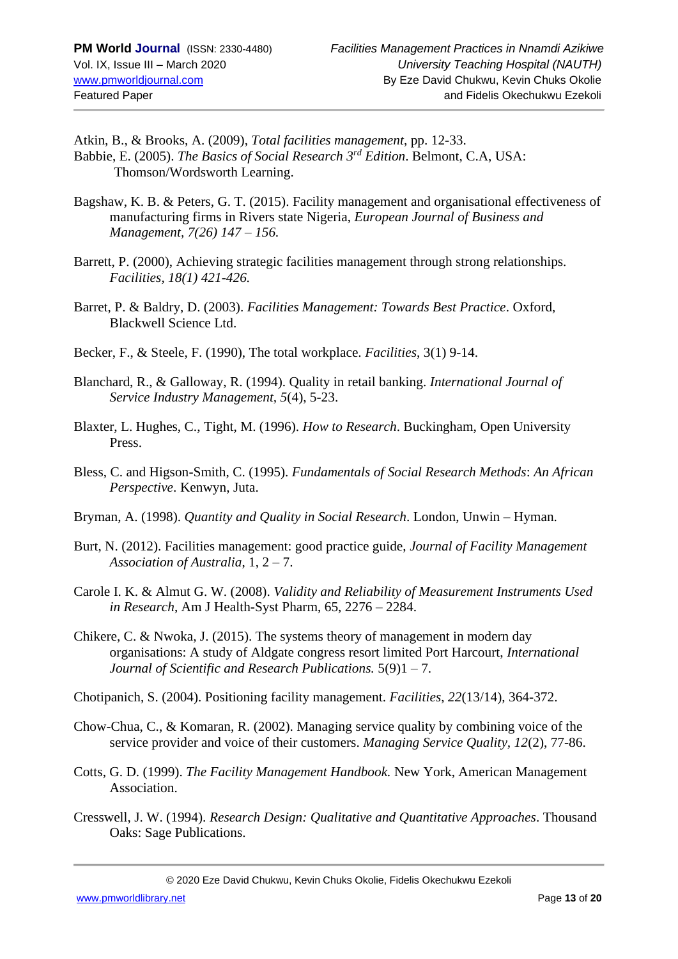Atkin, B., & Brooks, A. (2009), *Total facilities management*, pp. 12-33. Babbie, E. (2005). *The Basics of Social Research 3rd Edition*. Belmont, C.A, USA: Thomson/Wordsworth Learning.

- Bagshaw, K. B. & Peters, G. T. (2015). Facility management and organisational effectiveness of manufacturing firms in Rivers state Nigeria, *European Journal of Business and Management, 7(26) 147 – 156.*
- Barrett, P. (2000), Achieving strategic facilities management through strong relationships*. Facilities, 18(1) 421-426.*
- Barret, P. & Baldry, D. (2003). *Facilities Management: Towards Best Practice*. Oxford, Blackwell Science Ltd.
- Becker, F., & Steele, F. (1990), The total workplace. *Facilities*, 3(1) 9-14.
- Blanchard, R., & Galloway, R. (1994). Quality in retail banking. *International Journal of Service Industry Management, 5*(4), 5-23.
- Blaxter, L. Hughes, C., Tight, M. (1996). *How to Research*. Buckingham, Open University Press.
- Bless, C. and Higson-Smith, C. (1995). *Fundamentals of Social Research Methods*: *An African Perspective*. Kenwyn, Juta.
- Bryman, A. (1998). *Quantity and Quality in Social Research*. London, Unwin Hyman.
- Burt, N. (2012). Facilities management: good practice guide, *Journal of Facility Management Association of Australia*, 1, 2 – 7.
- Carole I. K. & Almut G. W. (2008). *Validity and Reliability of Measurement Instruments Used in Research*, Am J Health-Syst Pharm, 65, 2276 – 2284.
- Chikere, C. & Nwoka, J. (2015). The systems theory of management in modern day organisations: A study of Aldgate congress resort limited Port Harcourt, *International Journal of Scientific and Research Publications.* 5(9)1 – 7.
- Chotipanich, S. (2004). Positioning facility management. *Facilities*, *22*(13/14), 364-372.
- Chow-Chua, C., & Komaran, R. (2002). Managing service quality by combining voice of the service provider and voice of their customers. *Managing Service Quality, 12*(2), 77-86.
- Cotts, G. D. (1999). *The Facility Management Handbook.* New York, American Management Association.
- Cresswell, J. W. (1994). *Research Design: Qualitative and Quantitative Approaches*. Thousand Oaks: Sage Publications.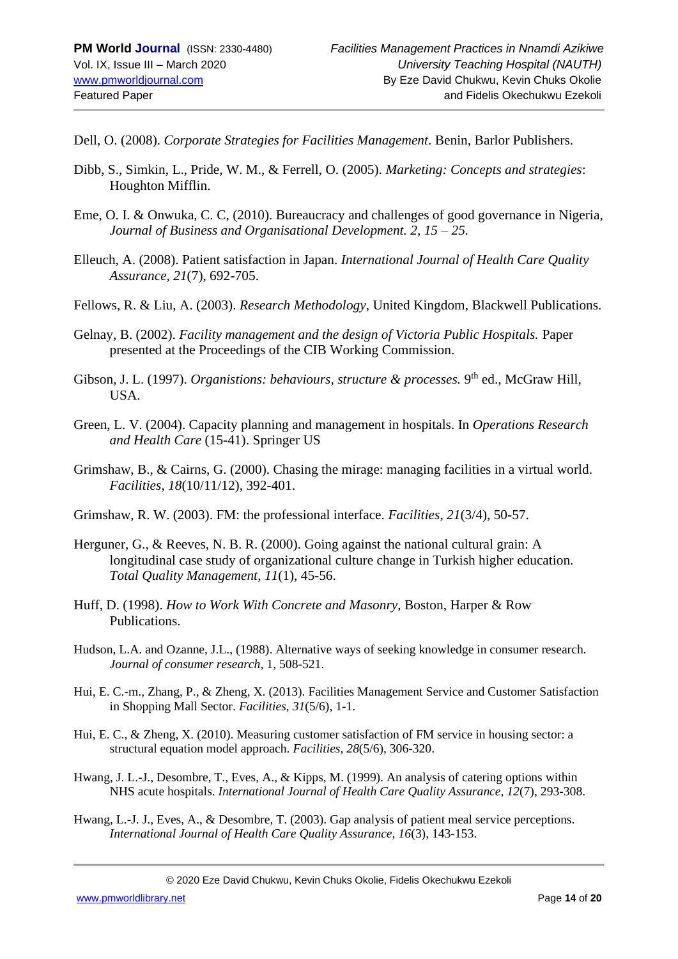Dell, O. (2008). *Corporate Strategies for Facilities Management*. Benin, Barlor Publishers.

- Dibb, S., Simkin, L., Pride, W. M., & Ferrell, O. (2005). *Marketing: Concepts and strategies*: Houghton Mifflin.
- Eme, O. I. & Onwuka, C. C, (2010). Bureaucracy and challenges of good governance in Nigeria, *Journal of Business and Organisational Development. 2, 15 – 25.*
- Elleuch, A. (2008). Patient satisfaction in Japan. *International Journal of Health Care Quality Assurance, 21*(7), 692-705.
- Fellows, R. & Liu, A. (2003). *Research Methodology,* United Kingdom, Blackwell Publications.
- Gelnay, B. (2002). *Facility management and the design of Victoria Public Hospitals.* Paper presented at the Proceedings of the CIB Working Commission.
- Gibson, J. L. (1997). *Organistions: behaviours, structure & processes*. 9<sup>th</sup> ed., McGraw Hill, USA.
- Green, L. V. (2004). Capacity planning and management in hospitals. In *Operations Research and Health Care* (15-41). Springer US
- Grimshaw, B., & Cairns, G. (2000). Chasing the mirage: managing facilities in a virtual world. *Facilities*, *18*(10/11/12), 392-401.
- Grimshaw, R. W. (2003). FM: the professional interface. *Facilities*, *21*(3/4), 50-57.
- Herguner, G., & Reeves, N. B. R. (2000). Going against the national cultural grain: A longitudinal case study of organizational culture change in Turkish higher education. *Total Quality Management*, *11*(1), 45-56.
- Huff, D. (1998). *How to Work With Concrete and Masonry*, Boston, Harper & Row Publications.
- Hudson, L.A. and Ozanne, J.L., (1988). Alternative ways of seeking knowledge in consumer research. *Journal of consumer research*, 1, 508-521.
- Hui, E. C.-m., Zhang, P., & Zheng, X. (2013). Facilities Management Service and Customer Satisfaction in Shopping Mall Sector. *Facilities, 31*(5/6), 1-1.
- Hui, E. C., & Zheng, X. (2010). Measuring customer satisfaction of FM service in housing sector: a structural equation model approach. *Facilities, 28*(5/6), 306-320.
- Hwang, J. L.-J., Desombre, T., Eves, A., & Kipps, M. (1999). An analysis of catering options within NHS acute hospitals. *International Journal of Health Care Quality Assurance, 12*(7), 293-308.
- Hwang, L.-J. J., Eves, A., & Desombre, T. (2003). Gap analysis of patient meal service perceptions. *International Journal of Health Care Quality Assurance, 16*(3), 143-153.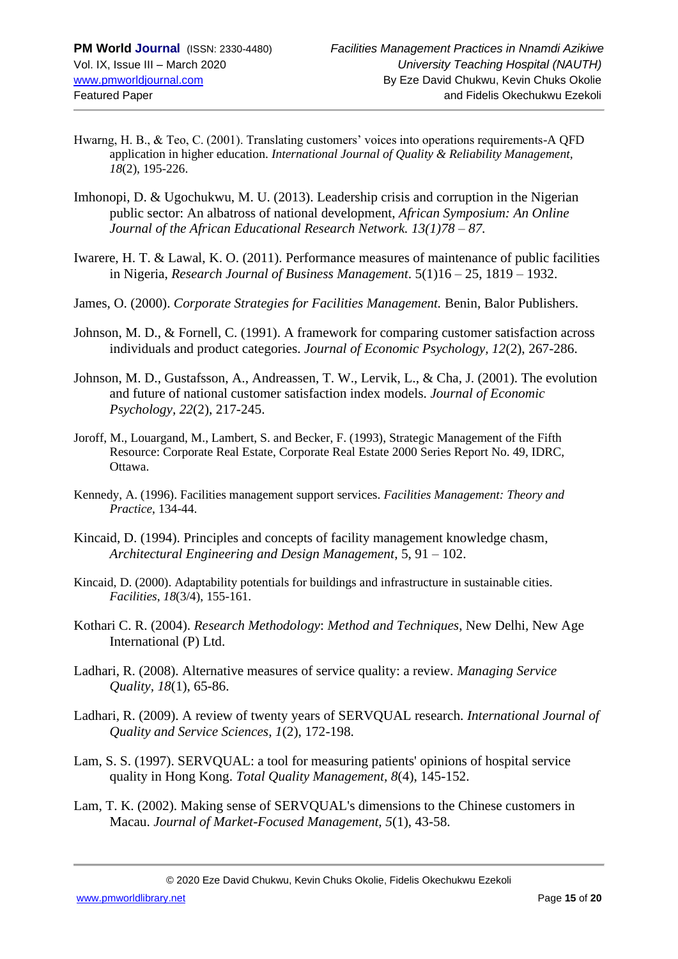- Hwarng, H. B., & Teo, C. (2001). Translating customers' voices into operations requirements-A QFD application in higher education. *International Journal of Quality & Reliability Management, 18*(2), 195-226.
- Imhonopi, D. & Ugochukwu, M. U. (2013). Leadership crisis and corruption in the Nigerian public sector: An albatross of national development, *African Symposium: An Online Journal of the African Educational Research Network. 13(1)78 – 87.*
- Iwarere, H. T. & Lawal, K. O. (2011). Performance measures of maintenance of public facilities in Nigeria, *Research Journal of Business Management*. 5(1)16 – 25, 1819 – 1932.
- James, O. (2000). *Corporate Strategies for Facilities Management.* Benin, Balor Publishers.
- Johnson, M. D., & Fornell, C. (1991). A framework for comparing customer satisfaction across individuals and product categories. *Journal of Economic Psychology, 12*(2), 267-286.
- Johnson, M. D., Gustafsson, A., Andreassen, T. W., Lervik, L., & Cha, J. (2001). The evolution and future of national customer satisfaction index models. *Journal of Economic Psychology, 22*(2), 217-245.
- Joroff, M., Louargand, M., Lambert, S. and Becker, F. (1993), Strategic Management of the Fifth Resource: Corporate Real Estate, Corporate Real Estate 2000 Series Report No. 49, IDRC, Ottawa.
- Kennedy, A. (1996). Facilities management support services. *Facilities Management: Theory and Practice*, 134-44.
- Kincaid, D. (1994). Principles and concepts of facility management knowledge chasm, *Architectural Engineering and Design Management*, 5, 91 – 102.
- Kincaid, D. (2000). Adaptability potentials for buildings and infrastructure in sustainable cities. *Facilities*, *18*(3/4), 155-161.
- Kothari C. R. (2004). *Research Methodology*: *Method and Techniques*, New Delhi, New Age International (P) Ltd.
- Ladhari, R. (2008). Alternative measures of service quality: a review. *Managing Service Quality, 18*(1), 65-86.
- Ladhari, R. (2009). A review of twenty years of SERVQUAL research. *International Journal of Quality and Service Sciences, 1*(2), 172-198.
- Lam, S. S. (1997). SERVQUAL: a tool for measuring patients' opinions of hospital service quality in Hong Kong. *Total Quality Management, 8*(4), 145-152.
- Lam, T. K. (2002). Making sense of SERVQUAL's dimensions to the Chinese customers in Macau. *Journal of Market-Focused Management, 5*(1), 43-58.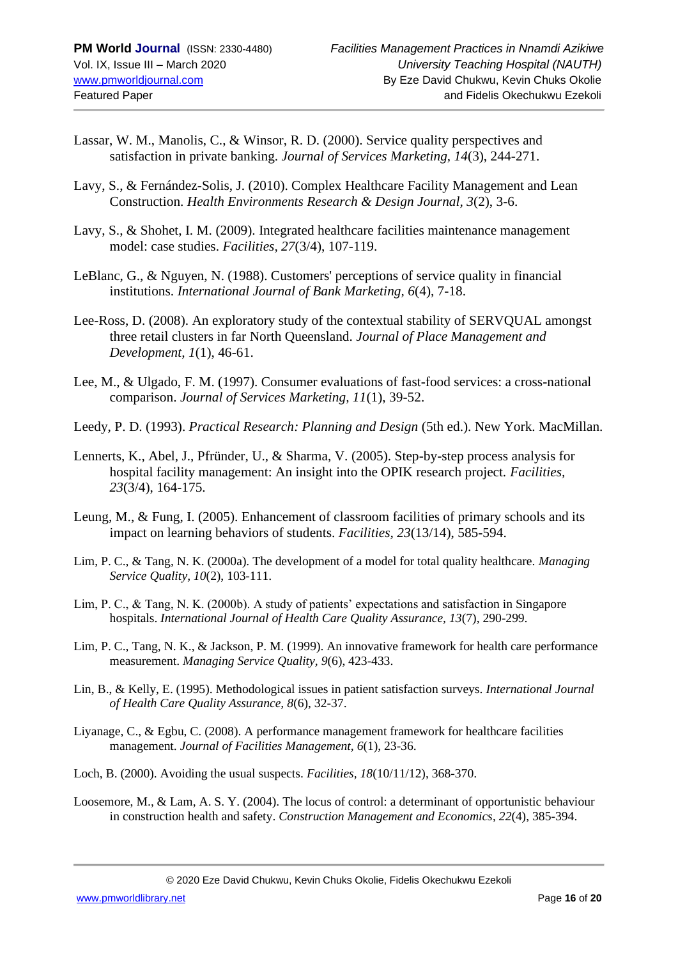- Lassar, W. M., Manolis, C., & Winsor, R. D. (2000). Service quality perspectives and satisfaction in private banking. *Journal of Services Marketing, 14*(3), 244-271.
- Lavy, S., & Fernández-Solis, J. (2010). Complex Healthcare Facility Management and Lean Construction. *Health Environments Research & Design Journal, 3*(2), 3-6.
- Lavy, S., & Shohet, I. M. (2009). Integrated healthcare facilities maintenance management model: case studies. *Facilities, 27*(3/4), 107-119.
- LeBlanc, G., & Nguyen, N. (1988). Customers' perceptions of service quality in financial institutions. *International Journal of Bank Marketing, 6*(4), 7-18.
- Lee-Ross, D. (2008). An exploratory study of the contextual stability of SERVQUAL amongst three retail clusters in far North Queensland. *Journal of Place Management and Development, 1*(1), 46-61.
- Lee, M., & Ulgado, F. M. (1997). Consumer evaluations of fast-food services: a cross-national comparison. *Journal of Services Marketing, 11*(1), 39-52.
- Leedy, P. D. (1993). *Practical Research: Planning and Design* (5th ed.). New York. MacMillan.
- Lennerts, K., Abel, J., Pfründer, U., & Sharma, V. (2005). Step-by-step process analysis for hospital facility management: An insight into the OPIK research project. *Facilities, 23*(3/4), 164-175.
- Leung, M., & Fung, I. (2005). Enhancement of classroom facilities of primary schools and its impact on learning behaviors of students. *Facilities, 23*(13/14), 585-594.
- Lim, P. C., & Tang, N. K. (2000a). The development of a model for total quality healthcare. *Managing Service Quality, 10*(2), 103-111.
- Lim, P. C., & Tang, N. K. (2000b). A study of patients' expectations and satisfaction in Singapore hospitals. *International Journal of Health Care Quality Assurance, 13*(7), 290-299.
- Lim, P. C., Tang, N. K., & Jackson, P. M. (1999). An innovative framework for health care performance measurement. *Managing Service Quality, 9*(6), 423-433.
- Lin, B., & Kelly, E. (1995). Methodological issues in patient satisfaction surveys. *International Journal of Health Care Quality Assurance, 8*(6), 32-37.
- Liyanage, C., & Egbu, C. (2008). A performance management framework for healthcare facilities management. *Journal of Facilities Management, 6*(1), 23-36.
- Loch, B. (2000). Avoiding the usual suspects. *Facilities, 18*(10/11/12), 368-370.
- Loosemore, M., & Lam, A. S. Y. (2004). The locus of control: a determinant of opportunistic behaviour in construction health and safety. *Construction Management and Economics*, *22*(4), 385-394.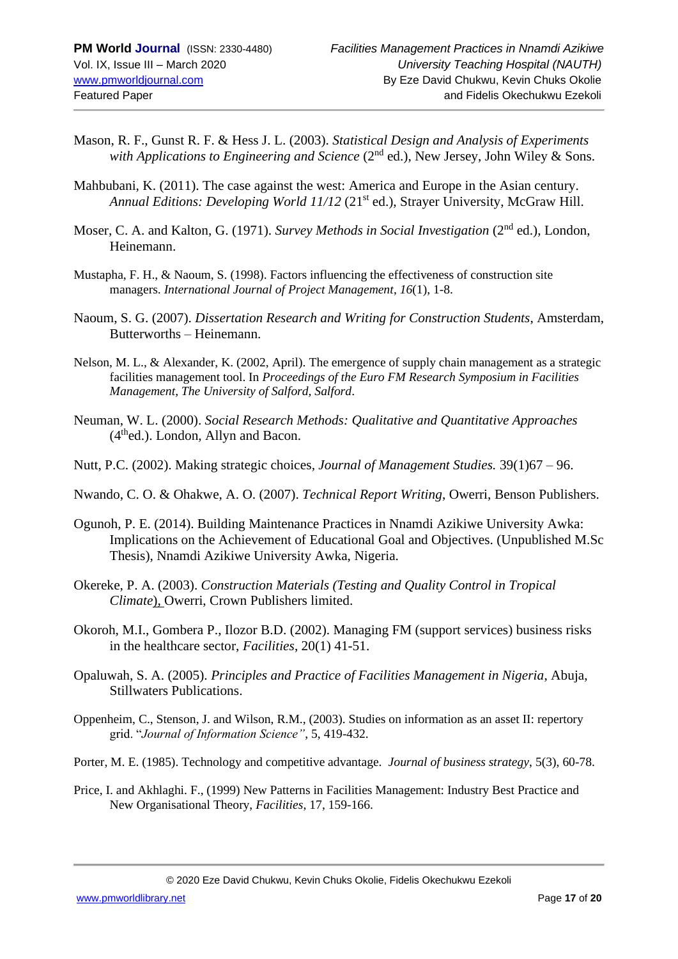- Mason, R. F., Gunst R. F. & Hess J. L. (2003). *Statistical Design and Analysis of Experiments with Applications to Engineering and Science* (2<sup>nd</sup> ed.), New Jersey, John Wiley & Sons.
- Mahbubani, K. (2011). The case against the west: America and Europe in the Asian century. *Annual Editions: Developing World 11/12* (21<sup>st</sup> ed.), Strayer University, McGraw Hill.
- Moser, C. A. and Kalton, G. (1971). *Survey Methods in Social Investigation* (2nd ed.), London, Heinemann.
- Mustapha, F. H., & Naoum, S. (1998). Factors influencing the effectiveness of construction site managers. *International Journal of Project Management*, *16*(1), 1-8.
- Naoum, S. G. (2007). *Dissertation Research and Writing for Construction Students*, Amsterdam, Butterworths – Heinemann.
- Nelson, M. L., & Alexander, K. (2002, April). The emergence of supply chain management as a strategic facilities management tool. In *Proceedings of the Euro FM Research Symposium in Facilities Management, The University of Salford, Salford*.
- Neuman, W. L. (2000). *Social Research Methods: Qualitative and Quantitative Approaches*  $(4<sup>th</sup>ed.)$ . London, Allyn and Bacon.
- Nutt, P.C. (2002). Making strategic choices*, Journal of Management Studies.* 39(1)67 96.
- Nwando, C. O. & Ohakwe, A. O. (2007). *Technical Report Writing*, Owerri, Benson Publishers.
- Ogunoh, P. E. (2014). Building Maintenance Practices in Nnamdi Azikiwe University Awka: Implications on the Achievement of Educational Goal and Objectives. (Unpublished M.Sc Thesis), Nnamdi Azikiwe University Awka, Nigeria.
- Okereke, P. A. (2003). *Construction Materials (Testing and Quality Control in Tropical Climate*), Owerri, Crown Publishers limited.
- Okoroh, M.I., Gombera P., Ilozor B.D. (2002). Managing FM (support services) business risks in the healthcare sector, *Facilities*, 20(1) 41-51.
- Opaluwah, S. A. (2005). *Principles and Practice of Facilities Management in Nigeria*, Abuja, Stillwaters Publications.
- Oppenheim, C., Stenson, J. and Wilson, R.M., (2003). Studies on information as an asset II: repertory grid. "*Journal of Information Science"*, 5, 419-432.
- Porter, M. E. (1985). Technology and competitive advantage. *Journal of business strategy*, 5(3), 60-78.
- Price, I. and Akhlaghi. F., (1999) New Patterns in Facilities Management: Industry Best Practice and New Organisational Theory, *Facilities*, 17, 159-166.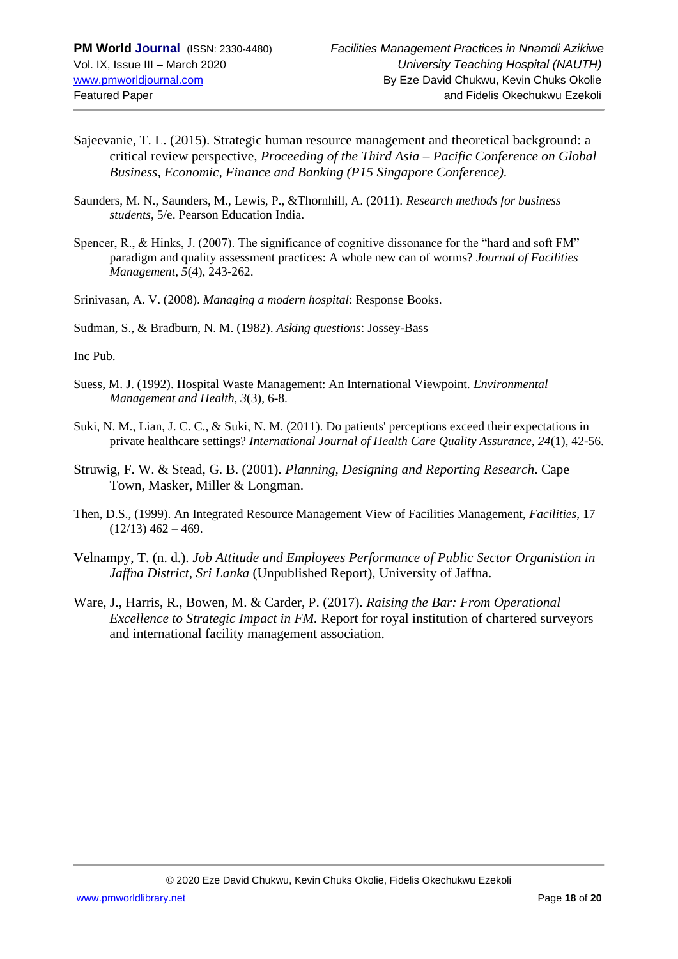- Sajeevanie, T. L. (2015). Strategic human resource management and theoretical background: a critical review perspective*, Proceeding of the Third Asia – Pacific Conference on Global Business, Economic, Finance and Banking (P15 Singapore Conference).*
- Saunders, M. N., Saunders, M., Lewis, P., &Thornhill, A. (2011). *Research methods for business students*, 5/e. Pearson Education India.
- Spencer, R., & Hinks, J. (2007). The significance of cognitive dissonance for the "hard and soft FM" paradigm and quality assessment practices: A whole new can of worms? *Journal of Facilities Management, 5*(4), 243-262.
- Srinivasan, A. V. (2008). *Managing a modern hospital*: Response Books.
- Sudman, S., & Bradburn, N. M. (1982). *Asking questions*: Jossey-Bass

Inc Pub.

- Suess, M. J. (1992). Hospital Waste Management: An International Viewpoint. *Environmental Management and Health, 3*(3), 6-8.
- Suki, N. M., Lian, J. C. C., & Suki, N. M. (2011). Do patients' perceptions exceed their expectations in private healthcare settings? *International Journal of Health Care Quality Assurance, 24*(1), 42-56.
- Struwig, F. W. & Stead, G. B. (2001). *Planning, Designing and Reporting Research*. Cape Town, Masker, Miller & Longman.
- Then, D.S., (1999). An Integrated Resource Management View of Facilities Management, *Facilities*, 17  $(12/13)$  462 – 469.
- Velnampy, T. (n. d.). *Job Attitude and Employees Performance of Public Sector Organistion in Jaffna District, Sri Lanka* (Unpublished Report), University of Jaffna.
- Ware, J., Harris, R., Bowen, M. & Carder, P. (2017). *Raising the Bar: From Operational Excellence to Strategic Impact in FM.* Report for royal institution of chartered surveyors and international facility management association.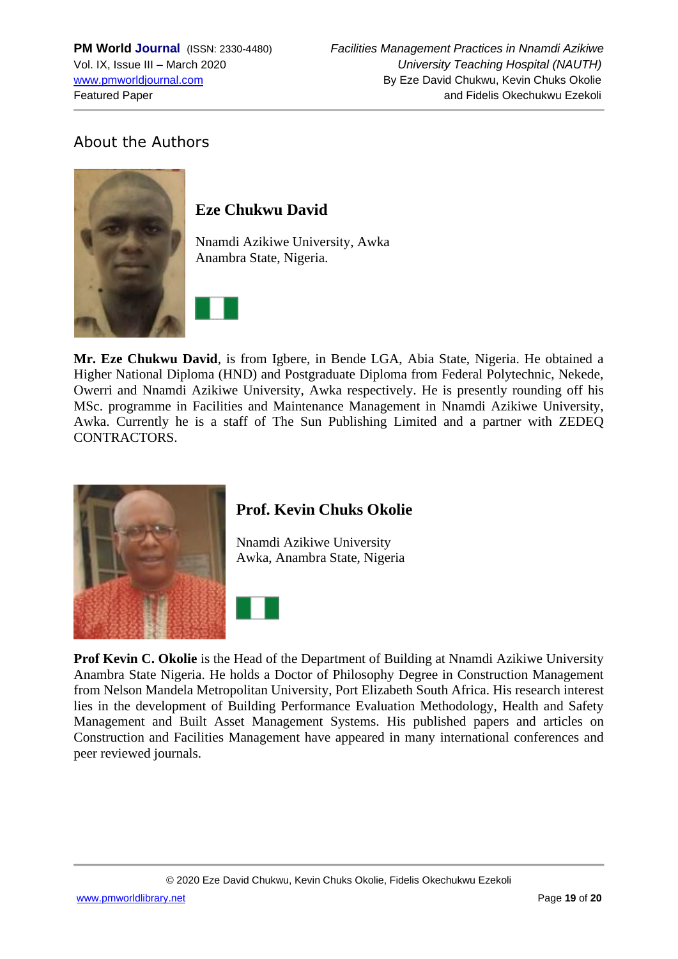# About the Authors



## **Eze Chukwu David**

Nnamdi Azikiwe University, Awka Anambra State, Nigeria.



**Mr. Eze Chukwu David**, is from Igbere, in Bende LGA, Abia State, Nigeria. He obtained a Higher National Diploma (HND) and Postgraduate Diploma from Federal Polytechnic, Nekede, Owerri and Nnamdi Azikiwe University, Awka respectively. He is presently rounding off his MSc. programme in Facilities and Maintenance Management in Nnamdi Azikiwe University, Awka. Currently he is a staff of The Sun Publishing Limited and a partner with ZEDEQ CONTRACTORS.



## **Prof. Kevin Chuks Okolie**

Nnamdi Azikiwe University Awka, Anambra State, Nigeria



**Prof Kevin C. Okolie** is the Head of the Department of Building at Nnamdi Azikiwe University Anambra State Nigeria. He holds a Doctor of Philosophy Degree in Construction Management from Nelson Mandela Metropolitan University, Port Elizabeth South Africa. His research interest lies in the development of Building Performance Evaluation Methodology, Health and Safety Management and Built Asset Management Systems. His published papers and articles on Construction and Facilities Management have appeared in many international conferences and peer reviewed journals.